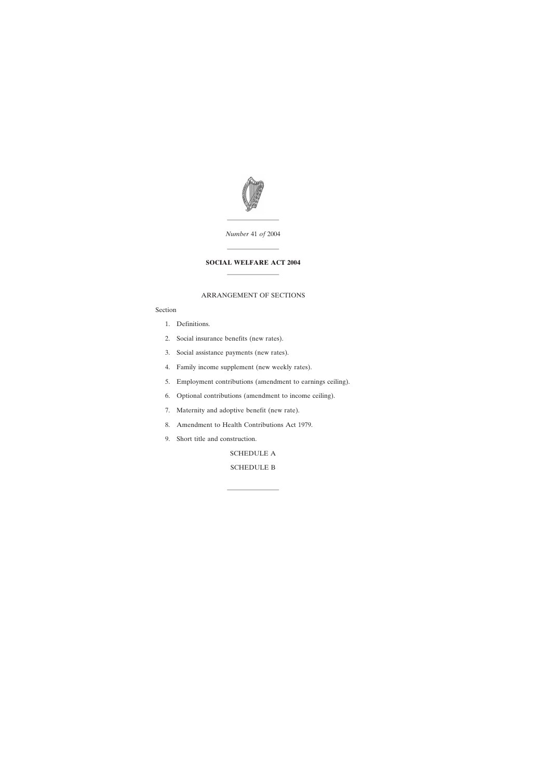

*Number* 41 *of* 2004

————————

# **SOCIAL WELFARE ACT 2004** ————————

————————

### ARRANGEMENT OF SECTIONS

## Section

- [1. Definitions.](#page-2-0)
- [2. Social insurance benefits \(new rates\).](#page-2-0)
- [3. Social assistance payments \(new rates\).](#page-2-0)
- [4. Family income supplement \(new weekly rates\).](#page-3-0)
- [5. Employment contributions \(amendment to earnings ceiling\).](#page-3-0)
- [6. Optional contributions \(amendment to income ceiling\).](#page-3-0)
- [7. Maternity and adoptive benefit \(new rate\).](#page-4-0)
- [8. Amendment to Health Contributions Act 1979.](#page-4-0)
- [9. Short title and construction.](#page-4-0)

[SCHEDULE A](#page-5-0)

# [SCHEDULE B](#page-8-0)

————————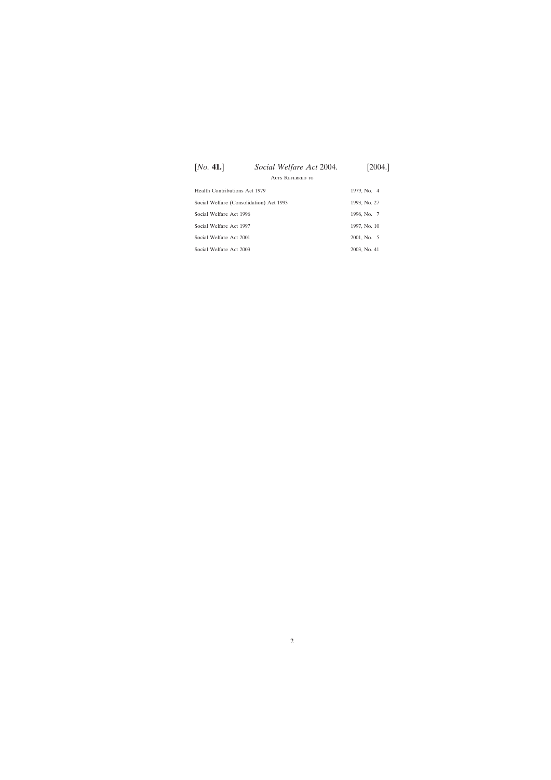| [No. 41.]                               | Social Welfare Act 2004.<br><b>ACTS REFERRED TO</b> | [2004.]      |
|-----------------------------------------|-----------------------------------------------------|--------------|
|                                         |                                                     |              |
| Health Contributions Act 1979           |                                                     | 1979, No. 4  |
| Social Welfare (Consolidation) Act 1993 |                                                     | 1993, No. 27 |
| Social Welfare Act 1996                 |                                                     | 1996, No. 7  |
| Social Welfare Act 1997                 |                                                     | 1997, No. 10 |
| Social Welfare Act 2001                 |                                                     | 2001, No. 5  |
| Social Welfare Act 2003                 |                                                     | 2003, No. 41 |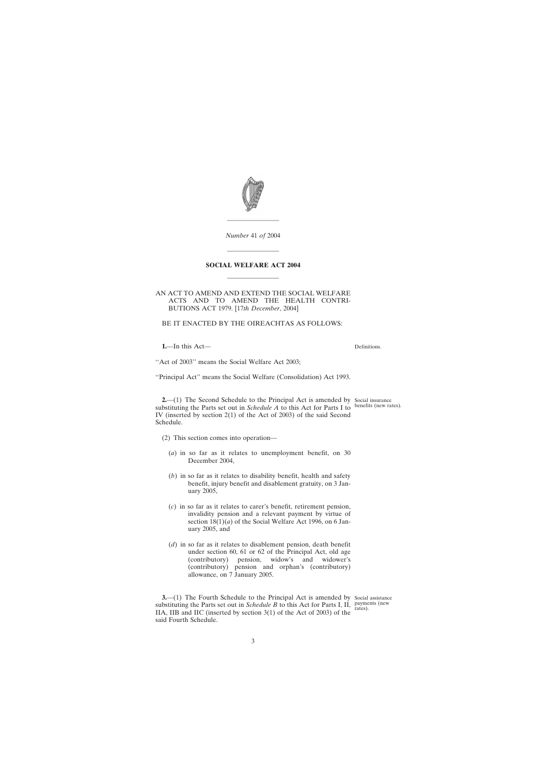<span id="page-2-0"></span>

*Number* 41 *of* 2004

————————

# **SOCIAL WELFARE ACT 2004** ————————

————————

### AN ACT TO AMEND AND EXTEND THE SOCIAL WELFARE ACTS AND TO AMEND THE HEALTH CONTRI-BUTIONS ACT 1979. [17*th December*, 2004]

BE IT ENACTED BY THE OIREACHTAS AS FOLLOWS:

**1.**—In this Act—

Definitions.

"Act of 2003" means the Social Welfare Act 2003;

''Principal Act'' means the Social Welfare (Consolidation) Act 1993.

**2.**—(1) The Second Schedule to the Principal Act is amended by Social insurance substituting the Parts set out in *Schedule A* to this Act for Parts I to benefits (new rates). IV (inserted by section 2(1) of the Act of 2003) of the said Second Schedule.

- (2) This section comes into operation—
	- (*a*) in so far as it relates to unemployment benefit, on 30 December 2004,
	- (*b*) in so far as it relates to disability benefit, health and safety benefit, injury benefit and disablement gratuity, on 3 January 2005,
	- (*c*) in so far as it relates to carer's benefit, retirement pension, invalidity pension and a relevant payment by virtue of section  $18(1)(a)$  of the Social Welfare Act 1996, on 6 January 2005, and
	- (*d*) in so far as it relates to disablement pension, death benefit under section 60, 61 or 62 of the Principal Act, old age (contributory) pension, widow's and widower's (contributory) pension and orphan's (contributory) allowance, on 7 January 2005.

**3.** (1) The Fourth Schedule to the Principal Act is amended by Social assistance substituting the Parts set out in *Schedule B* to this Act for Parts I, II, payments (new IIA, IIB and IIC (inserted by section 3(1) of the Act of 2003) of the said Fourth Schedule.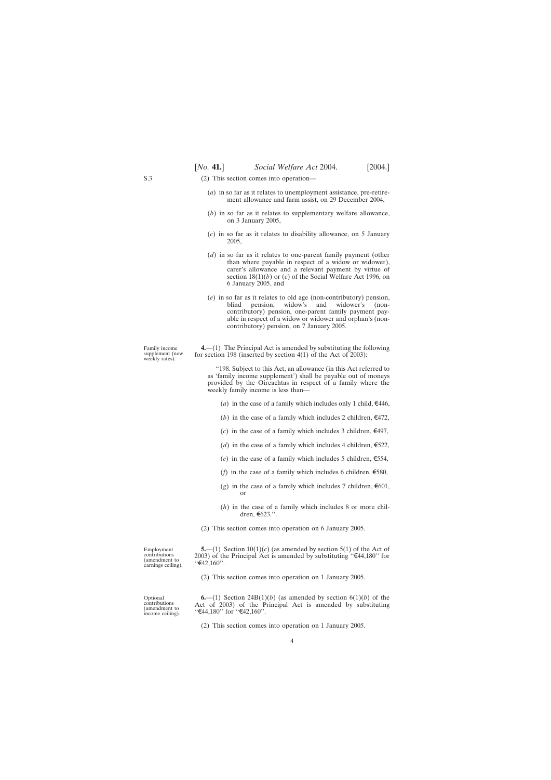- (2) This section comes into operation—
	- (*a*) in so far as it relates to unemployment assistance, pre-retirement allowance and farm assist, on 29 December 2004,
	- (*b*) in so far as it relates to supplementary welfare allowance, on 3 January 2005,
	- (*c*) in so far as it relates to disability allowance, on 5 January 2005,
	- (*d*) in so far as it relates to one-parent family payment (other than where payable in respect of a widow or widower), carer's allowance and a relevant payment by virtue of section 18(1)(*b*) or (*c*) of the Social Welfare Act 1996, on 6 January 2005, and
	- (*e*) in so far as it relates to old age (non-contributory) pension, blind pension, widow's and widower's (noncontributory) pension, one-parent family payment payable in respect of a widow or widower and orphan's (noncontributory) pension, on 7 January 2005.

**4.**—(1) The Principal Act is amended by substituting the following for section 198 (inserted by section 4(1) of the Act of 2003):

''198. Subject to this Act, an allowance (in this Act referred to as 'family income supplement') shall be payable out of moneys provided by the Oireachtas in respect of a family where the weekly family income is less than—

- (*a*) in the case of a family which includes only 1 child,  $\epsilon$ 446,
- (*b*) in the case of a family which includes 2 children,  $\epsilon$ 472,
- (*c*) in the case of a family which includes 3 children,  $\epsilon$ 497,
- (*d*) in the case of a family which includes 4 children,  $\epsilon$ 522,
- (*e*) in the case of a family which includes 5 children,  $\epsilon$ 554,
- (*f*) in the case of a family which includes 6 children,  $\epsilon$ 580,
- (*g*) in the case of a family which includes 7 children,  $\epsilon$ 601, or
- (*h*) in the case of a family which includes 8 or more children,  $\epsilon$ 623.''.
- (2) This section comes into operation on 6 January 2005.

Employment contributions (amendment to earnings ceiling).

Optional contributions (amendment to income ceiling).

**5.**—(1) Section  $10(1)(c)$  (as amended by section 5(1) of the Act of 2003) of the Principal Act is amended by substituting " $\text{\textsterling}44,180$ " for  $"€42,160"$ .

(2) This section comes into operation on 1 January 2005.

**6.**—(1) Section 24B(1)(*b*) (as amended by section  $6(1)(b)$  of the Act of 2003) of the Principal Act is amended by substituting "€44,180" for "€42,160".

(2) This section comes into operation on 1 January 2005.

<span id="page-3-0"></span>S.3

Family income supplement (new weekly rates).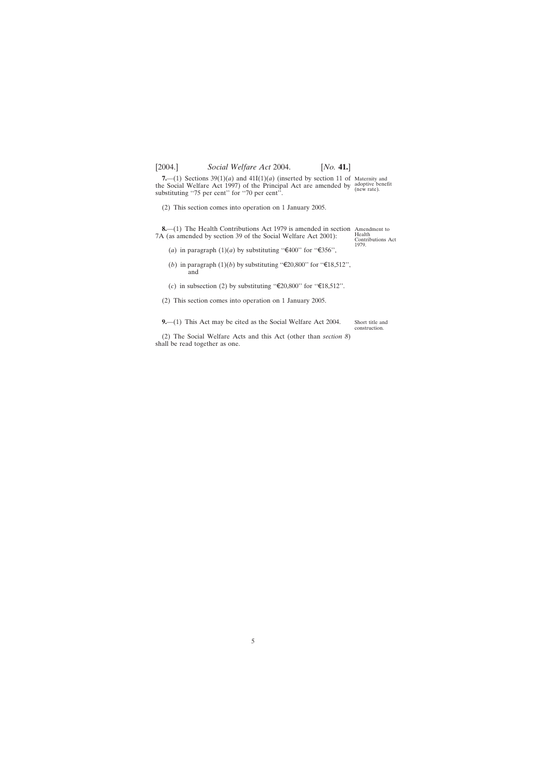<span id="page-4-0"></span>**7.**—(1) Sections  $39(1)(a)$  and  $41I(1)(a)$  (inserted by section 11 of Maternity and the Social Welfare Act 1997) of the Principal Act are amended by adoptive benefit (new rate). substituting "75 per cent" for "70 per cent".

(2) This section comes into operation on 1 January 2005.

**8.**—(1) The Health Contributions Act 1979 is amended in section Amendment to a samended by section 39 of the Social Welfare Act 2001). 7A (as amended by section 39 of the Social Welfare Act 2001):

Contributions Act 1979.

- (*a*) in paragraph  $(1)(a)$  by substituting " $\text{\textsterling}400$ " for " $\text{\textsterling}356"$ ,
- (*b*) in paragraph (1)(*b*) by substituting "€20,800" for "€18,512", and
- (*c*) in subsection (2) by substituting " $\epsilon$ 20,800" for " $\epsilon$ 18,512".
- (2) This section comes into operation on 1 January 2005.

**9.**—(1) This Act may be cited as the Social Welfare Act 2004.

Short title and construction.

(2) The Social Welfare Acts and this Act (other than *section 8*) shall be read together as one.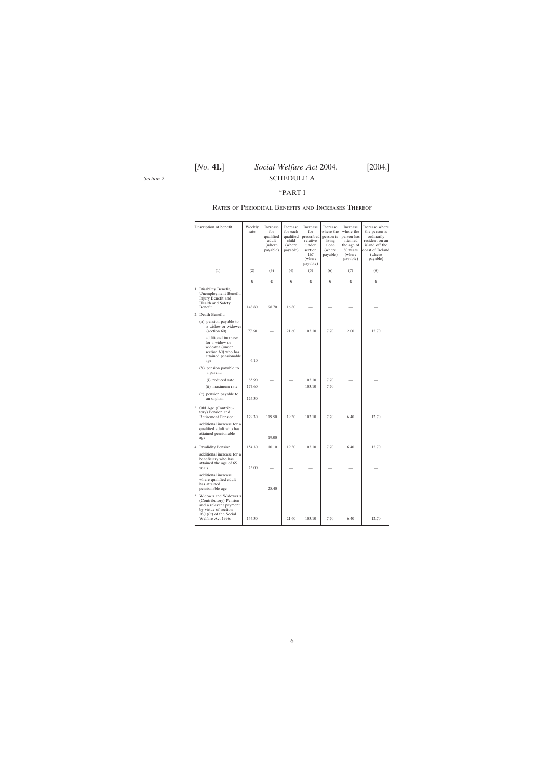<span id="page-5-0"></span>*Section 2.*

# [*No.* **41.**] *Social Welfare Act* 2004. [2004.] SCHEDULE A

### ''PART I

## Rates of Periodical Benefits and Increases Thereof

| Description of benefit                                                                                                                                | Weekly<br>rate | Increase<br>for<br>qualified<br>adult<br>(where<br>payable) | Increase<br>for each<br>qualified<br>child<br>(where<br>payable) | Increase<br>for<br>prescribed<br>relative<br>under<br>section<br>167<br>(where<br>payable) | Increase<br>where the<br>person is<br>living<br>alone<br>(where)<br>payable) | Increase<br>where the<br>person has<br>attained<br>the age of<br>80 years<br>(where<br>payable) | Increase where<br>the person is<br>ordinarily<br>resident on an<br>island off the<br>coast of Ireland<br>(where<br>payable) |
|-------------------------------------------------------------------------------------------------------------------------------------------------------|----------------|-------------------------------------------------------------|------------------------------------------------------------------|--------------------------------------------------------------------------------------------|------------------------------------------------------------------------------|-------------------------------------------------------------------------------------------------|-----------------------------------------------------------------------------------------------------------------------------|
| (1)                                                                                                                                                   | (2)            | (3)                                                         | (4)                                                              | (5)                                                                                        | (6)                                                                          | (7)                                                                                             | (8)                                                                                                                         |
|                                                                                                                                                       | €              | €                                                           | €                                                                | €                                                                                          | €                                                                            | €                                                                                               | €                                                                                                                           |
| 1. Disability Benefit,<br>Unemployment Benefit,<br>Injury Benefit and<br><b>Health and Safety</b><br>Benefit                                          | 148.80         | 98.70                                                       | 16.80                                                            |                                                                                            |                                                                              |                                                                                                 |                                                                                                                             |
| 2. Death Benefit:                                                                                                                                     |                |                                                             |                                                                  |                                                                                            |                                                                              |                                                                                                 |                                                                                                                             |
| $(a)$ pension payable to<br>a widow or widower<br>$\left( \text{section } 60 \right)$                                                                 | 177.60         |                                                             | 21.60                                                            | 103.10                                                                                     | 7.70                                                                         | 2.00                                                                                            | 12.70                                                                                                                       |
| additional increase<br>for a widow or<br>widower (under<br>section 60) who has<br>attained pensionable<br>age                                         | 6.10           |                                                             |                                                                  |                                                                                            |                                                                              |                                                                                                 |                                                                                                                             |
| $(b)$ pension payable to<br>a parent:                                                                                                                 |                |                                                             |                                                                  |                                                                                            |                                                                              |                                                                                                 |                                                                                                                             |
| (i) reduced rate                                                                                                                                      | 85.90          |                                                             |                                                                  | 103.10                                                                                     | 7.70                                                                         |                                                                                                 |                                                                                                                             |
| (ii) maximum rate                                                                                                                                     | 177.60         |                                                             |                                                                  | 103.10                                                                                     | 7.70                                                                         |                                                                                                 |                                                                                                                             |
| $(c)$ pension payable to<br>an orphan                                                                                                                 | 124.30         |                                                             |                                                                  |                                                                                            |                                                                              |                                                                                                 |                                                                                                                             |
| 3. Old Age (Contribu-<br>tory) Pension and<br>Retirement Pension:                                                                                     | 179.30         | 119.50                                                      | 19.30                                                            | 103.10                                                                                     | 7.70                                                                         | 6.40                                                                                            | 12.70                                                                                                                       |
| additional increase for a<br>qualified adult who has<br>attained pensionable<br>age                                                                   |                | 19.00                                                       |                                                                  |                                                                                            |                                                                              |                                                                                                 |                                                                                                                             |
| 4. Invalidity Pension:                                                                                                                                | 154.30         | 110.10                                                      | 19.30                                                            | 103.10                                                                                     | 7.70                                                                         | 6.40                                                                                            | 12.70                                                                                                                       |
| additional increase for a<br>beneficiary who has<br>attained the age of 65<br>years                                                                   | 25.00          |                                                             |                                                                  |                                                                                            |                                                                              |                                                                                                 |                                                                                                                             |
| additional increase<br>where qualified adult<br>has attained<br>pensionable age                                                                       |                | 28.40                                                       |                                                                  |                                                                                            |                                                                              |                                                                                                 |                                                                                                                             |
| 5. Widow's and Widower's<br>(Contributory) Pension<br>and a relevant payment<br>by virtue of section<br>$18(1)(a)$ of the Social<br>Welfare Act 1996: | 154.30         |                                                             | 21.60                                                            | 103.10                                                                                     | 7.70                                                                         | 6.40                                                                                            | 12.70                                                                                                                       |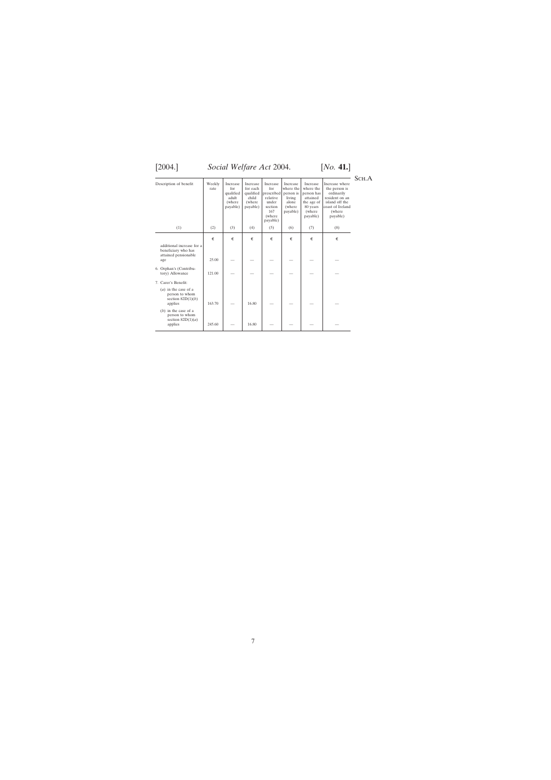# [2004.] *Social Welfare Act* 2004. [*No.* **41.**]

SCH.A  $\begin{tabular}{|l|c|c|c|c|} \hline Description of benefit & Weekly  
rate & Increase & Increase & Increase & Increase & Increase & Increase & Increase & Increase & \n for each & quite & where the \n qualified prescribed personal person has a data & the end of \n adult & while \n while \n where the queue & message of \n (where) mayable) & (where \n where the value & and \n to the age of \n (where) mayable) & (where \n (where) mayable) & (where \n in a case) is a data & the case of \n (where \n in a case) is a data & the case of \n (where \n in a case) is a data & the case of \n in a case) is a data & the case of \n in a case. \hline \n$ rate for for each for where the where the the person is<br>qualified prescribed person has ordinarily<br>adult child relative living attained resident on an (where where under alone the age of island off the payable) section (where 80 years coast of Ireland France and the age of stand off the<br>section (where  $\begin{array}{c|c}\n167 \\
(where \text{payable})\n\end{array}$  payable) (where  $\begin{array}{c|c}\n167 \\
(where \text{payable})\n\end{array}$ payable) (where<br>payable)  $(1)$   $(2)$   $(3)$   $(4)$   $(5)$   $(6)$   $(7)$   $(8)$  $\,\,\epsilon\,\,\mid\,\,\epsilon\,\,\mid\,\,\,\epsilon\,\,\mid\,\,\,\epsilon\,\,\mid\,\,\,\epsilon\,\,\mid\,\,\,\,\epsilon\,\,\mid\,\,\,\,\epsilon\,\,\mid\,\,\,\,\epsilon\,\,\mid\,\,\,\,\epsilon$  $\in$ additional increase for a beneficiary who has attained pensionable age 25.00 | — | — | — | — | — 6. Orphan's (Contribu-tory) Allowance 121.00 ———— — — 7. Carer's Benefit: (*a*) in the case of a<br>
person to whom<br>
section 82D(1)(*b*)<br>
applies 163.70 — 16.80 — — — — — — (*b*) in the case of a<br>
person to whom<br>
section 82D(1)(*a*)<br>
applies 245.60 – 16.80 – – – –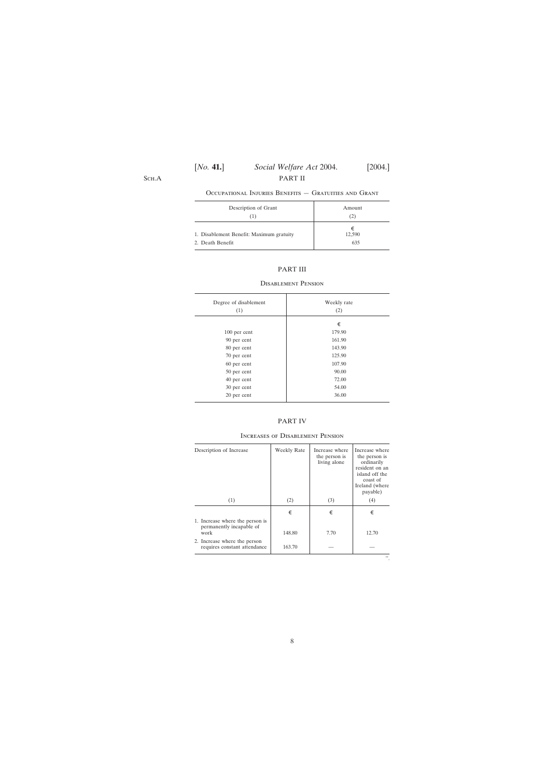# [*No.* **41.**] *Social Welfare Act* 2004. [2004.] PART II

Sch.A

## Occupational Injuries Benefits — Gratuities and Grant

| Description of Grant                                         | Amount             |
|--------------------------------------------------------------|--------------------|
| L I                                                          | (2)                |
| 1. Disablement Benefit: Maximum gratuity<br>2. Death Benefit | €<br>12,590<br>635 |

# PART III

### Disablement Pension

| Degree of disablement<br>(1) | Weekly rate<br>(2) |
|------------------------------|--------------------|
|                              | €                  |
| 100 per cent                 | 179.90             |
| 90 per cent                  | 161.90             |
| 80 per cent                  | 143.90             |
| 70 per cent                  | 125.90             |
| 60 per cent                  | 107.90             |
| 50 per cent                  | 90.00              |
| 40 per cent                  | 72.00              |
| 30 per cent                  | 54.00              |
| 20 per cent                  | 36.00              |
|                              |                    |

### PART IV

| (2) | (3)              |       |
|-----|------------------|-------|
|     |                  | (4)   |
| €   | €                | €     |
|     | 7.70             | 12.70 |
|     |                  |       |
|     | 148.80<br>163.70 |       |

### Increases of Disablement Pension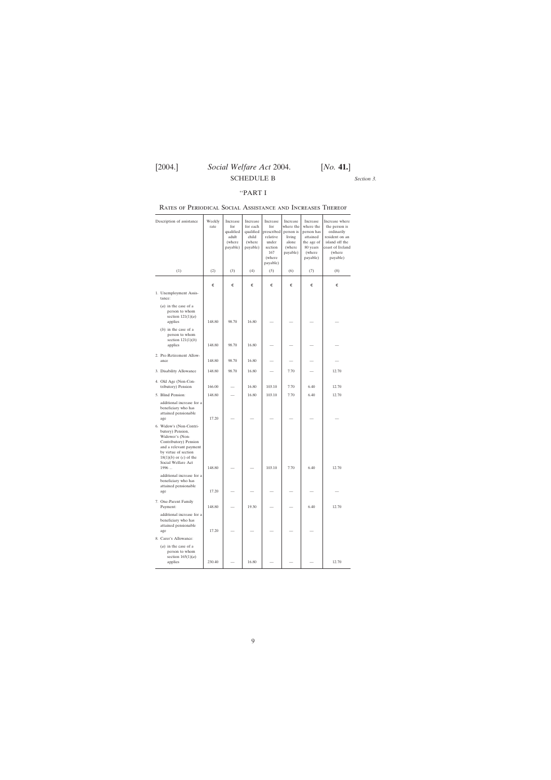*Section 3.*

## ''PART I

## <span id="page-8-0"></span>Rates of Periodical Social Assistance and Increases Thereof

| Description of assistance                                                                                                                                                                             | Weekly<br>rate | Increase<br>for<br>qualified<br>adult<br>(where<br>payable) | Increase<br>for each<br>qualified<br>child<br>(where<br>payable) | Increase<br>for<br>prescribed<br>relative<br>under<br>section<br>167<br>(where<br>payable) | Increase<br>where the<br>person is<br>living<br>alone<br>(where<br>payable) | Increase<br>where the<br>person has<br>attained<br>the age of<br>80 years<br>(where<br>payable) | Increase where<br>the person is<br>ordinarily<br>resident on an<br>island off the<br>coast of Ireland<br>(where)<br>payable) |
|-------------------------------------------------------------------------------------------------------------------------------------------------------------------------------------------------------|----------------|-------------------------------------------------------------|------------------------------------------------------------------|--------------------------------------------------------------------------------------------|-----------------------------------------------------------------------------|-------------------------------------------------------------------------------------------------|------------------------------------------------------------------------------------------------------------------------------|
| (1)                                                                                                                                                                                                   | (2)            | (3)                                                         | (4)                                                              | (5)                                                                                        | (6)                                                                         | (7)                                                                                             | (8)                                                                                                                          |
|                                                                                                                                                                                                       | €              | €                                                           | €                                                                | €                                                                                          | €                                                                           | €                                                                                               | €                                                                                                                            |
| 1. Unemployment Assis-<br>tance:                                                                                                                                                                      |                |                                                             |                                                                  |                                                                                            |                                                                             |                                                                                                 |                                                                                                                              |
| $(a)$ in the case of a<br>person to whom<br>section $121(1)(a)$<br>applies                                                                                                                            | 148.80         | 98.70                                                       | 16.80                                                            |                                                                                            |                                                                             |                                                                                                 |                                                                                                                              |
| $(b)$ in the case of a<br>person to whom<br>section $121(1)(b)$<br>applies                                                                                                                            | 148.80         | 98.70                                                       | 16.80                                                            |                                                                                            |                                                                             |                                                                                                 |                                                                                                                              |
| 2. Pre-Retirement Allow-<br>ance                                                                                                                                                                      | 148.80         | 98.70                                                       | 16.80                                                            |                                                                                            |                                                                             |                                                                                                 |                                                                                                                              |
| 3. Disability Allowance                                                                                                                                                                               | 148.80         | 98.70                                                       | 16.80                                                            |                                                                                            | 7.70                                                                        |                                                                                                 | 12.70                                                                                                                        |
| 4. Old Age (Non-Con-<br>tributory) Pension                                                                                                                                                            | 166.00         |                                                             | 16.80                                                            | 103.10                                                                                     | 7.70                                                                        | 6.40                                                                                            | 12.70                                                                                                                        |
| 5. Blind Pension:                                                                                                                                                                                     | 148.80         |                                                             | 16.80                                                            | 103.10                                                                                     | 7.70                                                                        | 6.40                                                                                            | 12.70                                                                                                                        |
| additional increase for a<br>beneficiary who has<br>attained pensionable<br>age                                                                                                                       | 17.20          |                                                             |                                                                  |                                                                                            |                                                                             |                                                                                                 |                                                                                                                              |
| 6. Widow's (Non-Contri-<br>butory) Pension,<br>Widower's (Non-<br>Contributory) Pension<br>and a relevant payment<br>by virtue of section<br>$18(1)(b)$ or $(c)$ of the<br>Social Welfare Act<br>1996 | 148.80         |                                                             |                                                                  | 103.10                                                                                     | 7.70                                                                        | 6.40                                                                                            | 12.70                                                                                                                        |
| additional increase for a<br>beneficiary who has<br>attained pensionable<br>age                                                                                                                       | 17.20          |                                                             |                                                                  |                                                                                            |                                                                             |                                                                                                 |                                                                                                                              |
| 7. One-Parent Family<br>Payment:                                                                                                                                                                      | 148.80         |                                                             | 19.30                                                            |                                                                                            |                                                                             | 6.40                                                                                            | 12.70                                                                                                                        |
| additional increase for a<br>beneficiary who has<br>attained pensionable<br>age                                                                                                                       | 17.20          |                                                             |                                                                  |                                                                                            |                                                                             |                                                                                                 |                                                                                                                              |
| 8. Carer's Allowance:                                                                                                                                                                                 |                |                                                             |                                                                  |                                                                                            |                                                                             |                                                                                                 |                                                                                                                              |
| $(a)$ in the case of a<br>person to whom<br>section $165(1)(a)$<br>applies                                                                                                                            | 230.40         |                                                             | 16.80                                                            |                                                                                            |                                                                             |                                                                                                 | 12.70                                                                                                                        |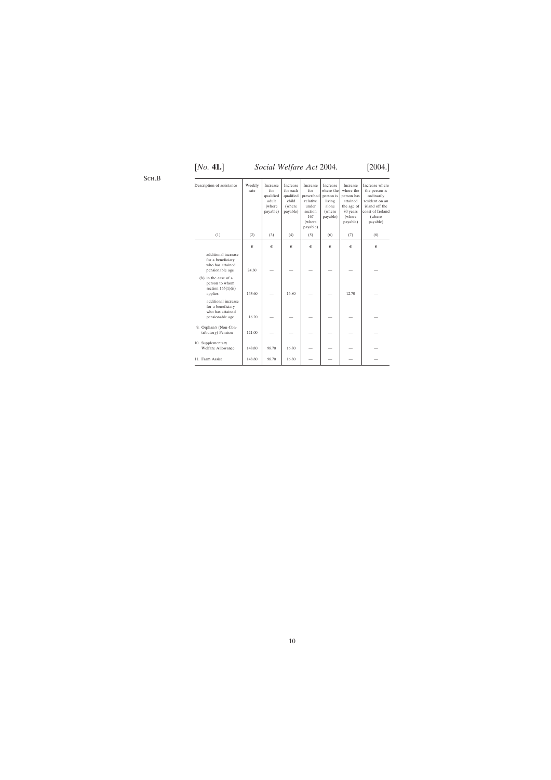# [*No.* **41.**] *Social Welfare Act* 2004. [2004.]

| Description of assistance                                                       | Weekly<br>rate | Increase<br>for<br>qualified<br>adult<br>(where<br>payable) | Increase<br>for each<br>qualified<br>child<br>(where<br>payable) | Increase<br>for<br>prescribed<br>relative<br>under<br>section<br>167<br>(where<br>payable) | Increase<br>where the<br>person is<br>living<br>alone<br>(where<br>payable) | Increase<br>where the<br>person has<br>attained<br>the age of<br>80 years<br>(where<br>payable) | Increase where<br>the person is<br>ordinarily<br>resident on an<br>island off the<br>coast of Ireland<br>(where<br>payable) |
|---------------------------------------------------------------------------------|----------------|-------------------------------------------------------------|------------------------------------------------------------------|--------------------------------------------------------------------------------------------|-----------------------------------------------------------------------------|-------------------------------------------------------------------------------------------------|-----------------------------------------------------------------------------------------------------------------------------|
| (1)                                                                             | (2)            | (3)                                                         | (4)                                                              | (5)                                                                                        | (6)                                                                         | (7)                                                                                             | (8)                                                                                                                         |
|                                                                                 | €              | €                                                           | €                                                                | €                                                                                          | €                                                                           | €                                                                                               | €                                                                                                                           |
| additional increase<br>for a beneficiary<br>who has attained<br>pensionable age | 24.30          |                                                             |                                                                  |                                                                                            |                                                                             |                                                                                                 |                                                                                                                             |
| $(b)$ in the case of a<br>person to whom<br>section $165(1)(b)$<br>applies      | 153.60         |                                                             | 16.80                                                            |                                                                                            |                                                                             | 12.70                                                                                           |                                                                                                                             |
| additional increase<br>for a beneficiary<br>who has attained<br>pensionable age | 16.20          |                                                             |                                                                  |                                                                                            |                                                                             |                                                                                                 |                                                                                                                             |
| 9. Orphan's (Non-Con-<br>tributory) Pension                                     | 121.00         |                                                             |                                                                  |                                                                                            |                                                                             |                                                                                                 |                                                                                                                             |
| 10. Supplementary<br>Welfare Allowance                                          | 148.80         | 98.70                                                       | 16.80                                                            |                                                                                            |                                                                             |                                                                                                 |                                                                                                                             |
| 11. Farm Assist                                                                 | 148.80         | 98.70                                                       | 16.80                                                            |                                                                                            |                                                                             |                                                                                                 |                                                                                                                             |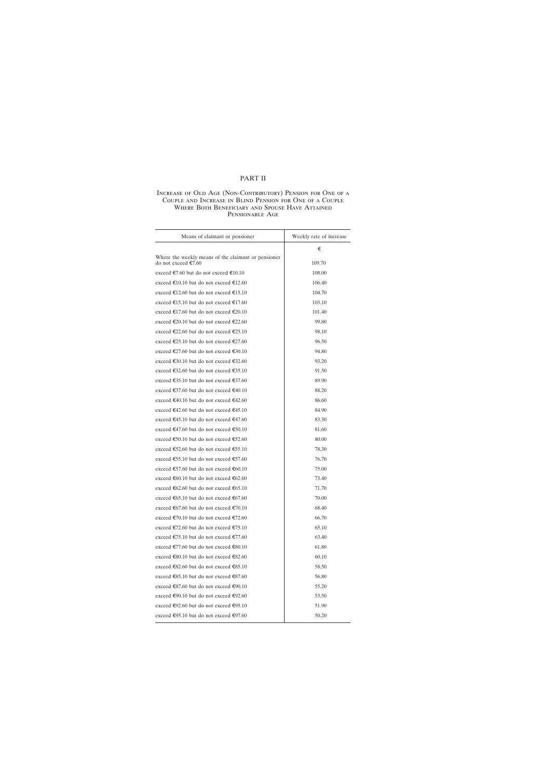## PART II

### Increase of Old Age (Non-Contributory) Pension for One of a Couple and Increase in Blind Pension for One of a Couple Where Both Beneficiary and Spouse Have Attained Pensionable Age

| Means of claimant or pensioner.                                            | Weekly rate of increase |
|----------------------------------------------------------------------------|-------------------------|
|                                                                            | €                       |
| Where the weekly means of the claimant or pensioner<br>do not exceed €7.60 | 109.70                  |
| exceed €7.60 but do not exceed €10.10                                      | 108.00                  |
| exceed €10.10 but do not exceed €12.60                                     | 106.40                  |
| exceed €12.60 but do not exceed €15.10                                     | 104.70                  |
| exceed €15.10 but do not exceed €17.60                                     | 103.10                  |
| exceed €17.60 but do not exceed €20.10                                     | 101.40                  |
| exceed €20.10 but do not exceed €22.60                                     | 99.80                   |
| exceed €22.60 but do not exceed €25.10                                     | 98.10                   |
| exceed €25.10 but do not exceed €27.60                                     | 96.50                   |
| exceed €27.60 but do not exceed €30.10                                     | 94.80                   |
| exceed €30.10 but do not exceed €32.60                                     | 93.20                   |
| exceed €32.60 but do not exceed €35.10                                     | 91.50                   |
| exceed €35.10 but do not exceed €37.60                                     | 89.90                   |
| exceed €37.60 but do not exceed €40.10                                     | 88.20                   |
| exceed €40.10 but do not exceed €42.60                                     | 86.60                   |
| exceed €42.60 but do not exceed €45.10                                     | 84.90                   |
| exceed €45.10 but do not exceed €47.60                                     | 83.30                   |
| exceed €47.60 but do not exceed €50.10                                     | 81.60                   |
| exceed €50.10 but do not exceed €52.60                                     | 80.00                   |
| exceed €52.60 but do not exceed €55.10                                     | 78.30                   |
| exceed €55.10 but do not exceed €57.60                                     | 76.70                   |
| exceed €57.60 but do not exceed €60.10                                     | 75.00                   |
| exceed €60.10 but do not exceed €62.60                                     | 73.40                   |
| exceed €62.60 but do not exceed €65.10                                     | 71.70                   |
| exceed €65.10 but do not exceed €67.60                                     | 70.00                   |
| exceed €67.60 but do not exceed €70.10                                     | 68.40                   |
| exceed €70.10 but do not exceed €72.60                                     | 66.70                   |
| exceed €72.60 but do not exceed €75.10                                     | 65.10                   |
| exceed €75.10 but do not exceed €77.60                                     | 63.40                   |
| exceed €77.60 but do not exceed €80.10                                     | 61.80                   |
| exceed €80.10 but do not exceed €82.60                                     | 60.10                   |
| exceed €82.60 but do not exceed €85.10                                     | 58.50                   |
| exceed €85.10 but do not exceed €87.60                                     | 56.80                   |
| exceed €87.60 but do not exceed €90.10                                     | 55.20                   |
| exceed €90.10 but do not exceed €92.60                                     | 53.50                   |
| exceed €92.60 but do not exceed €95.10                                     | 51.90                   |
| exceed €95.10 but do not exceed €97.60                                     | 50.20                   |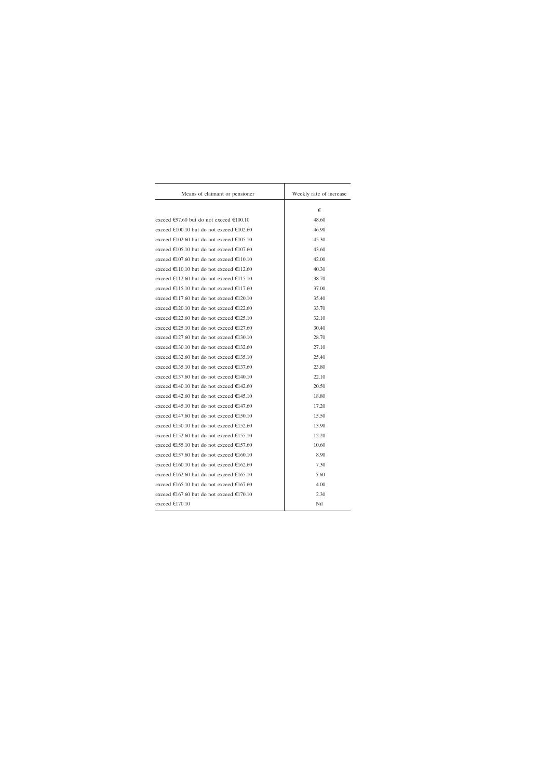| Means of claimant or pensioner.          | Weekly rate of increase |
|------------------------------------------|-------------------------|
|                                          | €                       |
| exceed €97.60 but do not exceed €100.10  | 48.60                   |
| exceed €100.10 but do not exceed €102.60 | 46.90                   |
| exceed €102.60 but do not exceed €105.10 | 45.30                   |
| exceed €105.10 but do not exceed €107.60 | 43.60                   |
| exceed €107.60 but do not exceed €110.10 | 42.00                   |
| exceed €110.10 but do not exceed €112.60 | 40.30                   |
| exceed €112.60 but do not exceed €115.10 | 38.70                   |
| exceed €115.10 but do not exceed €117.60 | 37.00                   |
| exceed €117.60 but do not exceed €120.10 | 35.40                   |
| exceed €120.10 but do not exceed €122.60 | 33.70                   |
| exceed €122.60 but do not exceed €125.10 | 32.10                   |
| exceed €125.10 but do not exceed €127.60 | 30.40                   |
| exceed €127.60 but do not exceed €130.10 | 28.70                   |
| exceed €130.10 but do not exceed €132.60 | 27.10                   |
| exceed €132.60 but do not exceed €135.10 | 25.40                   |
| exceed €135.10 but do not exceed €137.60 | 23.80                   |
| exceed €137.60 but do not exceed €140.10 | 22.10                   |
| exceed €140.10 but do not exceed €142.60 | 20.50                   |
| exceed €142.60 but do not exceed €145.10 | 18.80                   |
| exceed €145.10 but do not exceed €147.60 | 17.20                   |
| exceed €147.60 but do not exceed €150.10 | 15.50                   |
| exceed €150.10 but do not exceed €152.60 | 13.90                   |
| exceed €152.60 but do not exceed €155.10 | 12.20                   |
| exceed €155.10 but do not exceed €157.60 | 10.60                   |
| exceed €157.60 but do not exceed €160.10 | 8.90                    |
| exceed €160.10 but do not exceed €162.60 | 7.30                    |
| exceed €162.60 but do not exceed €165.10 | 5.60                    |
| exceed €165.10 but do not exceed €167.60 | 4.00                    |
| exceed €167.60 but do not exceed €170.10 | 2.30                    |
| exceed €170.10                           | Nil                     |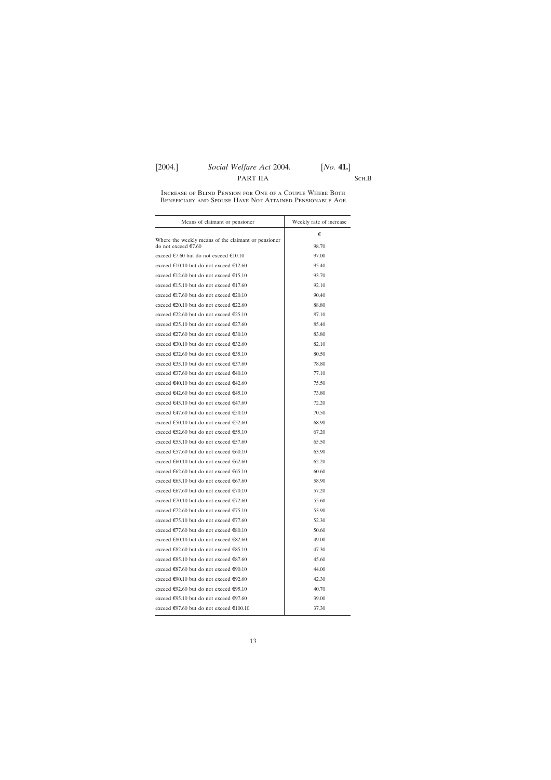# [2004.] *Social Welfare Act* 2004. [*No.* **41.**] PART IIA SCH.B

### Increase of Blind Pension for One of a Couple Where Both Beneficiary and Spouse Have Not Attained Pensionable Age

| Means of claimant or pensioner                                             | Weekly rate of increase |  |  |
|----------------------------------------------------------------------------|-------------------------|--|--|
|                                                                            | €                       |  |  |
| Where the weekly means of the claimant or pensioner<br>do not exceed €7.60 | 98.70                   |  |  |
| exceed €7.60 but do not exceed €10.10                                      | 97.00                   |  |  |
| exceed €10.10 but do not exceed €12.60                                     | 95.40                   |  |  |
| exceed €12.60 but do not exceed €15.10                                     | 93.70                   |  |  |
| exceed €15.10 but do not exceed €17.60                                     | 92.10                   |  |  |
| exceed €17.60 but do not exceed €20.10                                     | 90.40                   |  |  |
| exceed €20.10 but do not exceed €22.60                                     | 88.80                   |  |  |
| exceed €22.60 but do not exceed €25.10                                     | 87.10                   |  |  |
| exceed €25.10 but do not exceed €27.60                                     | 85.40                   |  |  |
| exceed €27.60 but do not exceed €30.10                                     | 83.80                   |  |  |
| exceed €30.10 but do not exceed €32.60                                     | 82.10                   |  |  |
| exceed €32.60 but do not exceed €35.10                                     | 80.50                   |  |  |
| exceed €35.10 but do not exceed €37.60                                     | 78.80                   |  |  |
| exceed €37.60 but do not exceed €40.10                                     | 77.10                   |  |  |
| exceed €40.10 but do not exceed €42.60                                     | 75.50                   |  |  |
| exceed €42.60 but do not exceed €45.10                                     | 73.80                   |  |  |
| exceed €45.10 but do not exceed €47.60                                     | 72.20                   |  |  |
| exceed €47.60 but do not exceed €50.10                                     | 70.50                   |  |  |
| exceed €50.10 but do not exceed €52.60                                     | 68.90                   |  |  |
| exceed €52.60 but do not exceed €55.10                                     | 67.20                   |  |  |
| exceed €55.10 but do not exceed €57.60                                     | 65.50                   |  |  |
| exceed €57.60 but do not exceed €60.10                                     | 63.90                   |  |  |
| exceed €60.10 but do not exceed €62.60                                     | 62.20                   |  |  |
| exceed €62.60 but do not exceed €65.10                                     | 60.60                   |  |  |
| exceed €65.10 but do not exceed €67.60                                     | 58.90                   |  |  |
| exceed €67.60 but do not exceed €70.10                                     | 57.20                   |  |  |
| exceed €70.10 but do not exceed €72.60                                     | 55.60                   |  |  |
| exceed €72.60 but do not exceed €75.10                                     | 53.90                   |  |  |
| exceed €75.10 but do not exceed €77.60                                     | 52.30                   |  |  |
| exceed €77.60 but do not exceed €80.10                                     | 50.60                   |  |  |
| exceed €80.10 but do not exceed €82.60                                     | 49.00                   |  |  |
| exceed €82.60 but do not exceed €85.10                                     | 47.30                   |  |  |
| exceed €85.10 but do not exceed €87.60                                     | 45.60                   |  |  |
| exceed €87.60 but do not exceed €90.10                                     | 44.00                   |  |  |
| exceed €90.10 but do not exceed €92.60                                     | 42.30                   |  |  |
| exceed €92.60 but do not exceed €95.10                                     | 40.70                   |  |  |
| exceed €95.10 but do not exceed €97.60                                     | 39.00                   |  |  |
| exceed €97.60 but do not exceed €100.10                                    | 37.30                   |  |  |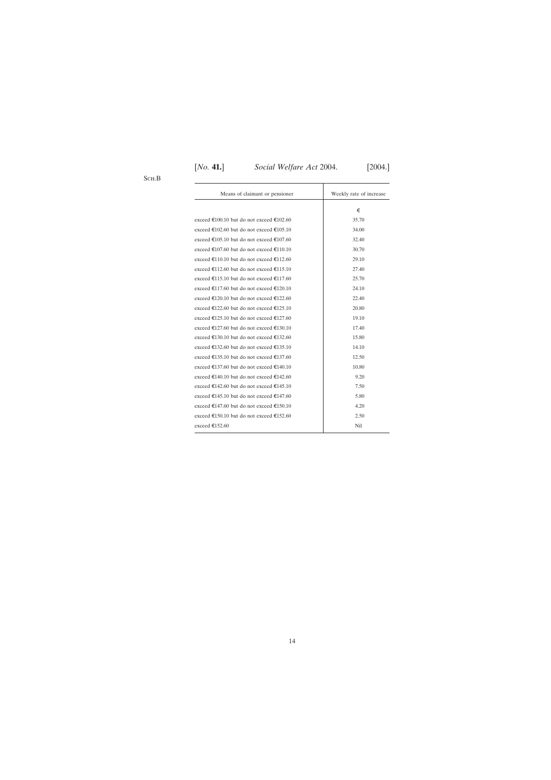| Means of claimant or pensioner           | Weekly rate of increase |
|------------------------------------------|-------------------------|
|                                          | €                       |
|                                          |                         |
| exceed €100.10 but do not exceed €102.60 | 35.70                   |
| exceed €102.60 but do not exceed €105.10 | 34.00                   |
| exceed €105.10 but do not exceed €107.60 | 32.40                   |
| exceed €107.60 but do not exceed €110.10 | 30.70                   |
| exceed €110.10 but do not exceed €112.60 | 29.10                   |
| exceed €112.60 but do not exceed €115.10 | 27.40                   |
| exceed €115.10 but do not exceed €117.60 | 25.70                   |
| exceed €117.60 but do not exceed €120.10 | 24.10                   |
| exceed €120.10 but do not exceed €122.60 | 22.40                   |
| exceed €122.60 but do not exceed €125.10 | 20.80                   |
| exceed €125.10 but do not exceed €127.60 | 19.10                   |
| exceed €127.60 but do not exceed €130.10 | 17.40                   |
| exceed €130.10 but do not exceed €132.60 | 15.80                   |
| exceed €132.60 but do not exceed €135.10 | 14.10                   |
| exceed €135.10 but do not exceed €137.60 | 12.50                   |
| exceed €137.60 but do not exceed €140.10 | 10.80                   |
| exceed €140.10 but do not exceed €142.60 | 9.20                    |
| exceed €142.60 but do not exceed €145.10 | 7.50                    |
| exceed €145.10 but do not exceed €147.60 | 5.80                    |
| exceed €147.60 but do not exceed €150.10 | 4.20                    |
| exceed €150.10 but do not exceed €152.60 | 2.50                    |
| exceed €152.60                           | Nil                     |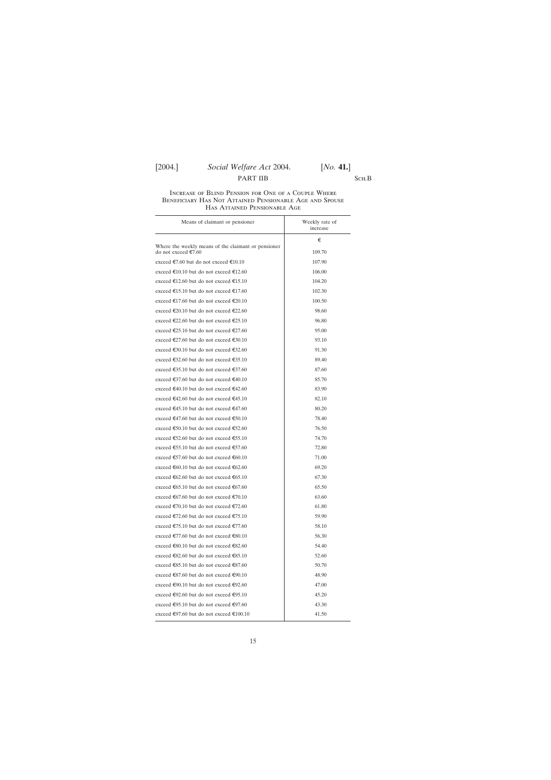# [2004.] *Social Welfare Act* 2004. [*No.* **41.**] PART IIB SCH.B

### Increase of Blind Pension for One of a Couple Where Beneficiary Has Not Attained Pensionable Age and Spouse Has Attained Pensionable Age

| Means of claimant or pensioner.                                            | Weekly rate of<br>increase |
|----------------------------------------------------------------------------|----------------------------|
|                                                                            | €                          |
| Where the weekly means of the claimant or pensioner<br>do not exceed €7.60 | 109.70                     |
| exceed €7.60 but do not exceed €10.10                                      | 107.90                     |
| exceed €10.10 but do not exceed €12.60                                     | 106.00                     |
| exceed €12.60 but do not exceed €15.10                                     | 104.20                     |
| exceed €15.10 but do not exceed €17.60                                     | 102.30                     |
| exceed €17.60 but do not exceed €20.10                                     | 100.50                     |
| exceed €20.10 but do not exceed €22.60                                     | 98.60                      |
| exceed €22.60 but do not exceed €25.10                                     | 96.80                      |
| exceed €25.10 but do not exceed €27.60                                     | 95.00                      |
| exceed €27.60 but do not exceed €30.10                                     | 93.10                      |
| exceed €30.10 but do not exceed €32.60                                     | 91.30                      |
| exceed €32.60 but do not exceed €35.10                                     | 89.40                      |
| exceed €35.10 but do not exceed €37.60                                     | 87.60                      |
| exceed €37.60 but do not exceed €40.10                                     | 85.70                      |
| exceed €40.10 but do not exceed €42.60                                     | 83.90                      |
| exceed €42.60 but do not exceed €45.10                                     | 82.10                      |
| exceed €45.10 but do not exceed €47.60                                     | 80.20                      |
| exceed €47.60 but do not exceed €50.10                                     | 78.40                      |
| exceed €50.10 but do not exceed €52.60                                     | 76.50                      |
| exceed €52.60 but do not exceed €55.10                                     | 74.70                      |
| exceed €55.10 but do not exceed €57.60                                     | 72.80                      |
| exceed €57.60 but do not exceed €60.10                                     | 71.00                      |
| exceed €60.10 but do not exceed €62.60                                     | 69.20                      |
| exceed €62.60 but do not exceed €65.10                                     | 67.30                      |
| exceed €65.10 but do not exceed €67.60                                     | 65.50                      |
| exceed €67.60 but do not exceed €70.10                                     | 63.60                      |
| exceed €70.10 but do not exceed €72.60                                     | 61.80                      |
| exceed €72.60 but do not exceed €75.10                                     | 59.90                      |
| exceed €75.10 but do not exceed €77.60                                     | 58.10                      |
| exceed €77.60 but do not exceed €80.10                                     | 56.30                      |
| exceed €80.10 but do not exceed €82.60                                     | 54.40                      |
| exceed €82.60 but do not exceed €85.10                                     | 52.60                      |
| exceed €85.10 but do not exceed €87.60                                     | 50.70                      |
| exceed €87.60 but do not exceed €90.10                                     | 48.90                      |
| exceed €90.10 but do not exceed €92.60                                     | 47.00                      |
| exceed €92.60 but do not exceed €95.10                                     | 45.20                      |
| exceed €95.10 but do not exceed €97.60                                     | 43.30                      |
| exceed €97.60 but do not exceed €100.10                                    | 41.50                      |

15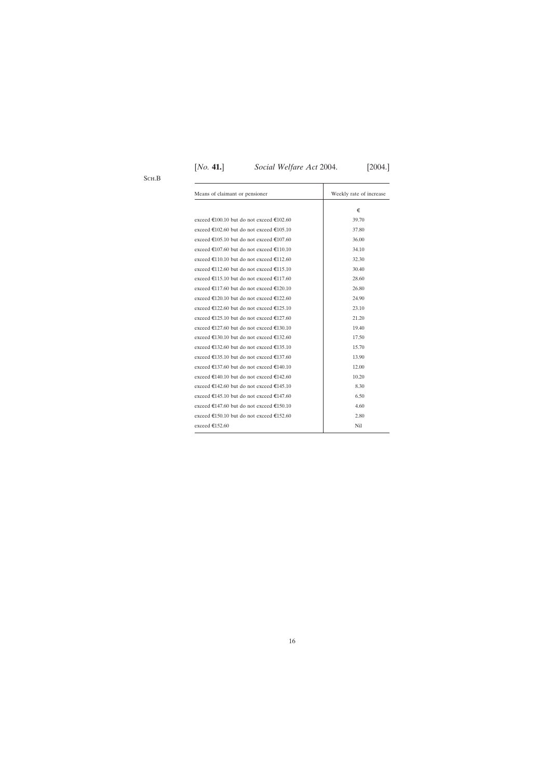| Means of claimant or pensioner           | Weekly rate of increase |
|------------------------------------------|-------------------------|
|                                          | €                       |
| exceed €100.10 but do not exceed €102.60 | 39.70                   |
| exceed €102.60 but do not exceed €105.10 | 37.80                   |
| exceed €105.10 but do not exceed €107.60 | 36.00                   |
| exceed €107.60 but do not exceed €110.10 | 34.10                   |
| exceed €110.10 but do not exceed €112.60 | 32.30                   |
| exceed €112.60 but do not exceed €115.10 | 30.40                   |
| exceed €115.10 but do not exceed €117.60 | 28.60                   |
| exceed €117.60 but do not exceed €120.10 | 26.80                   |
| exceed €120.10 but do not exceed €122.60 | 24.90                   |
| exceed €122.60 but do not exceed €125.10 | 23.10                   |
| exceed €125.10 but do not exceed €127.60 | 21.20                   |
| exceed €127.60 but do not exceed €130.10 | 19.40                   |
| exceed €130.10 but do not exceed €132.60 | 17.50                   |
| exceed €132.60 but do not exceed €135.10 | 15.70                   |
| exceed €135.10 but do not exceed €137.60 | 13.90                   |
| exceed €137.60 but do not exceed €140.10 | 12.00                   |
| exceed €140.10 but do not exceed €142.60 | 10.20                   |
| exceed €142.60 but do not exceed €145.10 | 8.30                    |
| exceed €145.10 but do not exceed €147.60 | 6.50                    |
| exceed €147.60 but do not exceed €150.10 | 4.60                    |
| exceed €150.10 but do not exceed €152.60 | 2.80                    |
| exceed €152.60                           | Nil                     |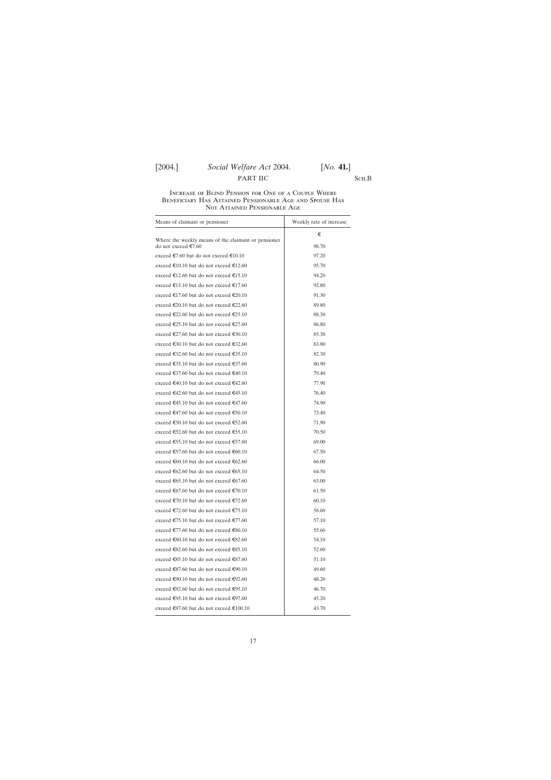# [2004.] *Social Welfare Act* 2004. [*No.* **41.**] PART IIC SCH.B

### Increase of Blind Pension for One of a Couple Where Beneficiary Has Attained Pensionable Age and Spouse Has Not Attained Pensionable Age

| Means of claimant or pensioner                                             | Weekly rate of increase |
|----------------------------------------------------------------------------|-------------------------|
|                                                                            | €                       |
| Where the weekly means of the claimant or pensioner<br>do not exceed €7.60 | 98.70                   |
| exceed €7.60 but do not exceed €10.10                                      | 97.20                   |
| exceed €10.10 but do not exceed €12.60                                     | 95.70                   |
| exceed €12.60 but do not exceed €15.10                                     | 94.20                   |
| exceed €15.10 but do not exceed €17.60                                     | 92.80                   |
| exceed €17.60 but do not exceed €20.10                                     | 91.30                   |
| exceed €20.10 but do not exceed €22.60                                     | 89.80                   |
| exceed €22.60 but do not exceed €25.10                                     | 88.30                   |
| exceed €25.10 but do not exceed €27.60                                     | 86.80                   |
| exceed €27.60 but do not exceed €30.10                                     | 85.30                   |
| exceed €30.10 but do not exceed €32.60                                     | 83.80                   |
| exceed €32.60 but do not exceed €35.10                                     | 82.30                   |
| exceed €35.10 but do not exceed €37.60                                     | 80.90                   |
| exceed €37.60 but do not exceed €40.10                                     | 79.40                   |
| exceed €40.10 but do not exceed €42.60                                     | 77.90                   |
| exceed €42.60 but do not exceed €45.10                                     | 76.40                   |
| exceed €45.10 but do not exceed €47.60                                     | 74.90                   |
| exceed €47.60 but do not exceed €50.10                                     | 73.40                   |
| exceed €50.10 but do not exceed €52.60                                     | 71.90                   |
| exceed €52.60 but do not exceed €55.10                                     | 70.50                   |
| exceed €55.10 but do not exceed €57.60                                     | 69.00                   |
| exceed €57.60 but do not exceed €60.10                                     | 67.50                   |
| exceed €60.10 but do not exceed €62.60                                     | 66.00                   |
| exceed €62.60 but do not exceed €65.10                                     | 64.50                   |
| exceed €65.10 but do not exceed €67.60                                     | 63.00                   |
| exceed €67.60 but do not exceed €70.10                                     | 61.50                   |
| exceed €70.10 but do not exceed €72.60                                     | 60.10                   |
| exceed €72.60 but do not exceed €75.10                                     | 58.60                   |
| exceed €75.10 but do not exceed €77.60                                     | 57.10                   |
| exceed €77.60 but do not exceed €80.10                                     | 55.60                   |
| exceed €80.10 but do not exceed €82.60                                     | 54.10                   |
| exceed €82.60 but do not exceed €85.10                                     | 52.60                   |
| exceed €85.10 but do not exceed €87.60                                     | 51.10                   |
| exceed $\epsilon$ 87.60 but do not exceed $\epsilon$ 90.10                 | 49.60                   |
| exceed €90.10 but do not exceed €92.60                                     | 48.20                   |
| exceed €92.60 but do not exceed €95.10                                     | 46.70                   |
| exceed €95.10 but do not exceed €97.60                                     | 45.20                   |
| exceed €97.60 but do not exceed €100.10                                    | 43.70                   |